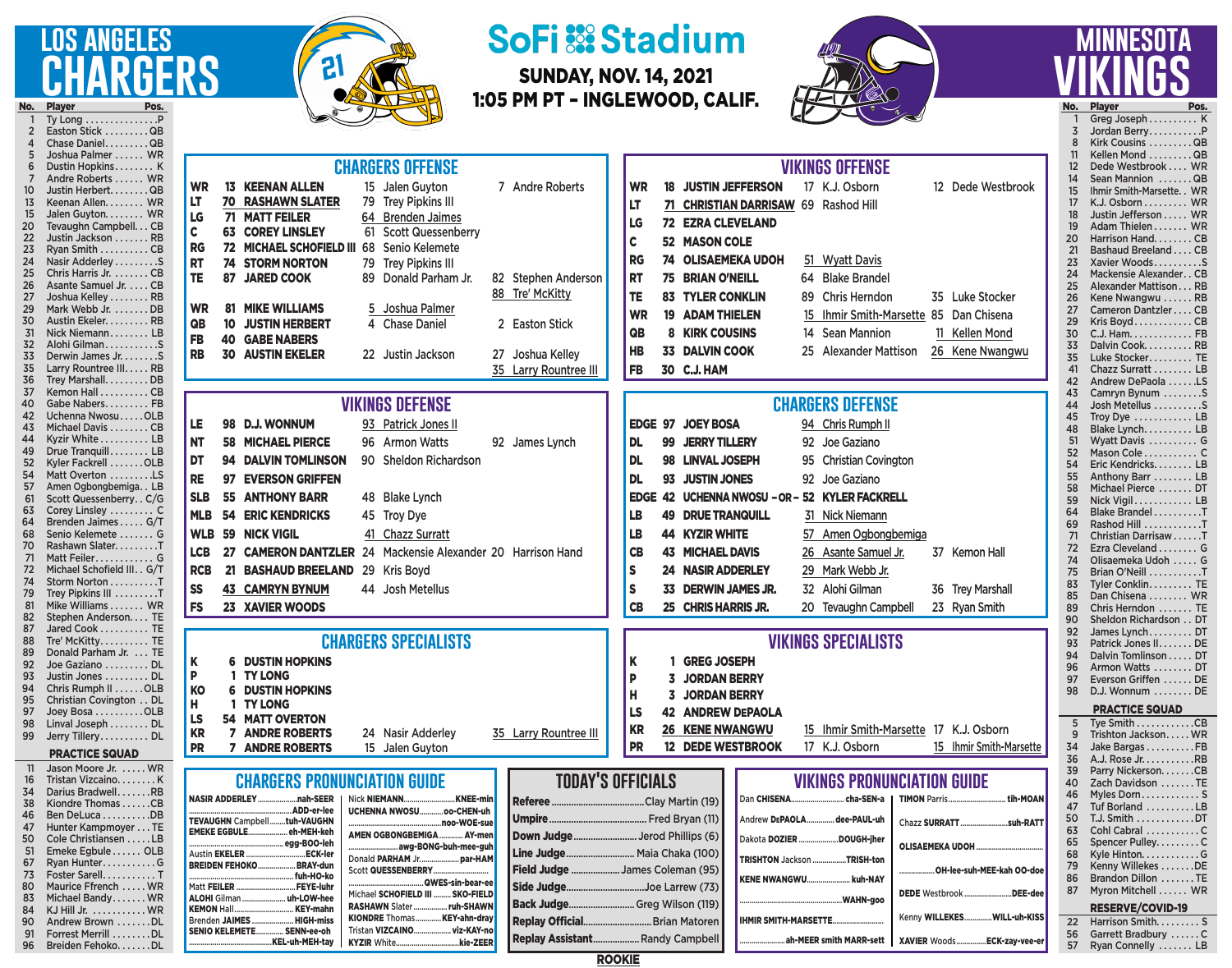## **los angeles** CHARGERS No. Player

90 Andrew Brown . . . . . . . DL<br>91 Forrest Merrill . . . . . . . DL 91 Forrest Merrill . . . . . . . DL<br>96 Breiden Fehoko. . . . . . DL Breiden Fehoko. . . . . . . DL Brenden JAIMES

SENIO KELEMETE............... SENN-ee-oh

..KEL-uh-MEH-tay

KIONDRE Thomas..........

Tristan VIZCAINO...................viz-KAY-no KYZIR White................................kie-ZEER



## **SoFi 53 Stadium**

SUNDAY, NOV. 14, 2021 1:05 PM PT – INGLEWOOD, CALIF.



## **minnesota vikings** No. Player Pos.

Harrison Smith.......... S 56 Garrett Bradbury . . . . . . C<br>57 Ryan Connelly . . . . . . . LB Ryan Connelly ....... LB

Ty Long . . . . . . . . . . . . . . . P 2 Easton Stick . . . . . . . . . QB<br>4 Chase Daniel . . . . . . . . QB 4 Chase Daniel.........QB<br>5 Joshua Palmer...... WR 5 Joshua Palmer . . . . . . WR<br>6 Dustin Hopkins . . . . . . . K 6 Dustin Hopkins . . . . . . . K<br>7 Andre Roberts . . . . . . WR 7 Andre Roberts . . . . . WR<br>10 Justin Herbert. . . . . . . QB 10 Justin Herbert. . . . . . . QB<br>13 Keenan Allen. . . . . . . WR 13 Keenan Allen. . . . . . . WR<br>15 Jalen Guvton. . . . . . . WR 15 Jalen Guyton. . . . . . . . WR<br>20 Tevaughn Campbell. . . CB 20 Tevaughn Campbell...CB<br>22 Justin Jackson .......RB 22 Justin Jackson . . . . . . . RB<br>23 Ryan Smith . . . . . . . . . CB 23 Ryan Smith . . . . . . . . . CB<br>24 Nasir Adderley . . . . . . . . . S Nasir Adderley . . . . . . . . . S 25 Chris Harris Jr. . . . . . . . CB<br>26 Asante Samuel Jr. . . . . CB Asante Samuel Jr. . . . . CB 27 Joshua Kelley........ RB 29 Mark Webb Jr. . . . . . . . DB<br>30 Austin Ekeler. . . . . . . . RB 30 Austin Ekeler. . . . . . . . RB<br>31 Nick Niemann . . . . . . . LB 31 Nick Niemann . . . . . . . . LB 32 Alohi Gilman . . . . . . . . . . S 33 Derwin James Jr. . . . . . . . S<br>35 Larry Rountree III. . . . . RB 35 Larry Rountree III..... RB<br>36 Trey Marshall......... DB 36 Trey Marshall. . . . . . . . . DB<br>37 Kemon Hall . . . . . . . . . CB 37 Kemon Hall . . . . . . . . . CB<br>40 Gabe Nabers. . . . . . . . FB 40 Gabe Nabers..........FB<br>42 Uchenna Nwosu.....OLB 42 Uchenna Nwosu . . . . . OLB<br>43 Michael Davis . . . . . . . . CB 43 Michael Davis . . . . . . . CB<br>44 Kyzir White . . . . . . . . . LB Kyzir White . . . . . . . . . . LB 49 Drue Tranquill . . . . . . . . LB<br>52 Kyler Fackrell . . . . . . . OLB Kyler Fackrell . . . . . . . OLB 54 Matt Overton . . . . . . . . . LS<br>57 Amen Ogbongbemiga. . LB<br>61 Scott Quessenberry. . C/G Amen Ogbongbemiga. . LB 61 Scott Quessenberry . . C/G<br>63 Corey Linsley . . . . . . . . . C 63 Corey Linsley . . . . . . . . C<br>64 Brenden Jaimes . . . . . G/T 64 Brenden Jaimes . . . . . G/T<br>68 Senio Kelemete . . . . . . . G 68 Senio Kelemete . . . . . . . G<br>70 Rashawn Slater. . . . . . . . . T 70 Rashawn Slater. . . . . . . . T<br>71 Matt Feiler . . . . . . . . . . . G 71 Matt Feiler . . . . . . . . . . . G<br>72 Michael Schofield III. . G/T 72 Michael Schofield III. . G/T<br>74 Storm Norton . . . . . . . . . T 74 Storm Norton . . . . . . . . . T<br>79 Trev Pipkins III . . . . . . . . T 79 Trey Pipkins III . . . . . . . . T<br>81 Mike Williams . . . . . . WR 81 Mike Williams....... WR<br>82 Stephen Anderson.... TE Stephen Anderson. . . . TE 87 Jared Cook . . . . . . . . . . TE<br>88 Tre' McKitty . . . . . . . . . TE 88 Tre' McKitty........... TE<br>89 Donald Parham Jr.... TE Donald Parham Jr. . . . TE 92 Joe Gaziano . . . . . . . . DL<br>93 Justin Jones . . . . . . . . DL 93 Justin Jones . . . . . . . . DL<br>94 Chris Rumph II . . . . . . OLB 94 Chris Rumph II . . . . . . OLB<br>95 Christian Covington . . DL 95 Christian Covington . . DL<br>97 Joey Bosa . . . . . . . . . OLB 97 Joey Bosa . . . . . . . . . OLB<br>98 Linval Joseph . . . . . . . DL Linval Joseph . . . . . . . . DL 99 Jerry Tillery . . . . . . . . . DL PRACTICE SQUAD 11 Jason Moore Jr. . . . . . WR 16 Tristan Vizcaino. . . . . . . K<br>34 Darius Bradwell. . . . . . . RB 34 Darius Bradwell.......RB<br>38 Kiondre Thomas ......CB 38 Kiondre Thomas . . . . . . CB<br>46 Ben DeLuca . . . . . . . . . . DB 46 Ben DeLuca . . . . . . . . . . DB<br>47 Hunter Kampmover . . . TE 47 Hunter Kampmoyer . . . TE<br>50 Cole Christiansen . . . . . LB 50 Cole Christiansen . . . . . LB<br>51 Emeke Egbule . . . . . . OLB 51 Emeke Egbule . . . . . . OLB<br>67 Ryan Hunter . . . . . . . . . . . . G 67 Ryan Hunter . . . . . . . . . . G Foster Sarell. . . . . . . . . . T 80 Maurice Ffrench . . . . . WR<br>83 Michael Bandy . . . . . . WR Michael Bandy . . . . . . . WR 84 KJ Hill Jr. . . . . . . . . . . WR Greg Joseph . . . . . . . . . . K 3 Jordan Berry . . . . . . . . . . . . . P<br>8 Kirk Cousins 8 Kirk Cousins . . . . . . . . QB 11 Kellen Mond . . . . . . . . QB<br>12 Dede Westbrook . . . . WR 12 Dede Westbrook . . . . WR<br>14 Sean Mannion . . . . . . . QB 14 Sean Mannion .......QB<br>15 Ihmir Smith-Marsette.. WR 15 Ihmir Smith-Marsette. . WR<br>17 K.J. Osborn . . . . . . . . WR 17 K.J. Osborn . . . . . . . . WR<br>18 Justin Jefferson . . . . WR 18 Justin Jefferson ..... WR<br>19 Adam Thielen ...... WR 19 Adam Thielen . . . . . . WR<br>20 Harrison Hand. . . . . . . CB 20 Harrison Hand. . . . . . . CB<br>21 Bashaud Breeland . . . . CB 21 Bashaud Breeland . . . CB<br>23 Xavier Woods . . . . . . . . . S 23 Xavier Woods..........S<br>24 Mackensie Alexander..CB 24 Mackensie Alexander.. CB<br>25 Alexander Mattison... RB 25 Alexander Mattison... RB<br>26 Kene Nwangwu...... RB 26 Kene Nwangwu . . . . . . RB<br>27 Cameron Dantzler . . . . CB 27 Cameron Dantzler . . . CB<br>29 Kris Bovd . . . . . . . . . . CB 29 Kris Boyd . . . . . . . . . . . CB<br>30 C.J. Ham. . . . . . . . . . . . FB 30 C.J. Ham. . . . . . . . . . . . FB<br>33 Dalvin Cook. . . . . . . . . RB 33 Dalvin Cook. . . . . . . . . RB<br>35 Luke Stocker. . . . . . . . TE 35 Luke Stocker.......... TE<br>41 Chazz Surratt ......... LB 41 Chazz Surratt . . . . . . . . LB<br>42 Andrew DePaola . . . . . . 1 S Andrew DePaola . . . . . . LS 43 Camryn Bynum . . . . . . . . S<br>44 Josh Metellus . . . . . . . . . . . . 9 44 Josh Metellus . . . . . . . . . S 45 Troy Dye . . . . . . . . . . . LB<br>48 Blake Lynch. . . . . . . . . LB Blake Lynch. . . . . . . . . . LB 51 Wyatt Davis . . . . . . . . . . G<br>52 Mason Cole . . . . . . . . . . C 52 Mason Cole . . . . . . . . . . C<br>54 Eric Kendricks. . . . . . . . LB 54 Eric Kendricks. . . . . . . LB<br>55 Anthony Barr . . . . . . . . LB 55 Anthony Barr . . . . . . . . LB<br>58 Michael Pierce . . . . . . . DT 58 Michael Pierce . . . . . . DT<br>59 Nick Vigil . . . . . . . . . . . LB Nick Vigil . . . . . . . . . . . LB 64 Blake Brandel . . . . . . . . . T<br>69 Rashod Hill . . . . . . . . . . . T 69 Rashod Hill . . . . . . . . . . . T<br>71 Christian Darrisaw . . . . . T Christian Darrisaw . . . . . . T 72 Ezra Cleveland........ G 74 Olisaemeka Udoh . . . . . G<br>75 Brian O'Neill . . . . . . . . . . T Brian O'Neill . . . . . . . . . . T 83 Tyler Conklin. . . . . . . . . TE 85 Dan Chisena . . . . . . . WR<br>89 Chris Herndon . . . . . . . TE 89 Chris Herndon . . . . . . . TE<br>90 Sheldon Richardson . . DT 90 Sheldon Richardson . . DT<br>92 James Lynch . . . . . . . . DT 92 James Lynch . . . . . . . . DT<br>93 Patrick Jones II. . . . . . . DE Patrick Jones II. . . . . . . DE 94 Dalvin Tomlinson . . . . DT<br>96 Armon Watts . . . . . . . . DT 96 Armon Watts . . . . . . . DT<br>97 Everson Griffen . . . . . . DE 97 Everson Griffen . . . . . . DE<br>98 D.J. Wonnum . . . . . . . . DE D.J. Wonnum . . . . . . . . DE PRACTICE SQUAD 5 Tye Smith . . . . . . . . . . . CB<br>9 Trishton Jackson. . . . . WR 9 Trishton Jackson..... WR<br>34 Jake Bargas..........FB 34 Jake Bargas . . . . . . . . . . FB<br>36 A.J. Rose Jr. . . . . . . . . . RB 36 A.J. Rose Jr. . . . . . . . . . . RB<br>39 Parry Nickerson. . . . . . . CB 39 Parry Nickerson.......CB<br>40 Zach Davidson .......TE 40 Zach Davidson . . . . . . TE 46 Myles Dorn.............. S<br>47 Tuf Borland ..........LB Tuf Borland . . . . . . . . . . LB 50 T.J. Smith . . . . . . . . . . . . DT<br>63 Cohl Cabral . . . . . . . . . . C Cohl Cabral . . . . . . . . . . C 65 Spencer Pulley......... C 68 Kyle Hinton...............G<br>79 Kenny Willekes........DE Kenny Willekes . . . . . . . DE 86 Brandon Dillon .......TE 87 Myron Mitchell . . . . . . WR **RESERVE/COVID-19**<br>22 Harrison Smith....... WR 13 KEENAN ALLEN 15 Jalen Guyton 7 Andre Roberts LT 70 RASHAWN SLATER 79 Trey Pipkins III LG 71 MATT FEILER 64 Brenden Jaimes<br>C 63 COREY LINSLEY 61 Scott Quessenbe **63 COREY LINSLEY** 61 Scott Quessenberry RG 72 MICHAEL SCHOFIELD III 68 Senio Kelemete RT 74 STORM NORTON 79 Trey Pipkins III TE 87 JARED COOK 89 Donald Parham Jr. 82 Stephen Anderson 88 Tre' McKitty WR 81 MIKE WILLIAMS 5 Joshua Palmer **QB** 10 JUSTIN HERBERT 4 Chase Daniel 2 Easton Stick FB 40 GABE NABERS RB 30 AUSTIN EKELER 22 Justin Jackson 27 Joshua Kelley 35 Larry Rountree III **chargers offense** K 6 DUSTIN HOPKINS P 1 TY LONG<br>KO 6 DUSTIN H **6 DUSTIN HOPKINS** H 1 TY LONG<br>LS 54 MATT OV 54 MATT OVERTON<br>7 ANDRE ROBERTS KR 7 ANDRE ROBERTS 24 Nasir Adderley 35 Larry Rountree III PR 7 ANDRE ROBERTS 15 Jalen Guyton **chargers specialists** LE 98 D.J. WONNUM 93 Patrick Jones II NT 58 MICHAEL PIERCE 96 Armon Watts 92 James Lynch DT 94 DALVIN TOMLINSON 90 Sheldon Richardson RE 97 EVERSON GRIFFEN SLB 55 ANTHONY BARR 48 Blake Lynch MLB 54 ERIC KENDRICKS 45 Troy Dye WLB 59 NICK VIGIL 41 Chazz Surratt LCB 27 CAMERON DANTZLER 24 Mackensie Alexander 20 Harrison Hand RCB 21 BASHAUD BREELAND 29 Kris Boyd SS 43 CAMRYN BYNUM 44 Josh Metellus FS 23 XAVIER WOODS **vikings defense** WR 18 JUSTIN JEFFERSON 17 K.J. Osborn 12 Dede Westbrook LT 71 CHRISTIAN DARRISAW 69 Rashod Hill LG 72 EZRA CLEVELAND C 52 MASON COLE RG 74 OLISAEMEKA UDOH 51 Wyatt Davis RT 75 BRIAN O'NEILL 64 Blake Brandel TE 83 TYLER CONKLIN 89 Chris Herndon 35 Luke Stocker WR 19 ADAM THIELEN 15 Ihmir Smith-Marsette 85 Dan Chisena QB 8 KIRK COUSINS 14 Sean Mannion 11 Kellen Mond HB 33 DALVIN COOK 25 Alexander Mattison 26 Kene Nwangwu FB 30 C.J. HAM **vikings offense** K 1 GREG JOSEPH P 3 JORDAN BERRY H 3 JORDAN BERRY LS 42 ANDREW DEPAOLA KR 26 KENE NWANGWU 15 Ihmir Smith-Marsette 17 K.J. Osborn PR 12 DEDE WESTBROOK 17 K.J. Osborn 15 Ihmir Smith-Marsette **vikings specialists** EDGE 97 JOEY BOSA 94 Chris Rumph II **DL 99 JERRY TILLERY** 92 Joe Gaziano DL 98 LINVAL JOSEPH 95 Christian Covington **DL 93 JUSTIN JONES** 92 Joe Gaziano EDGE 42 UCHENNA NWOSU — OR — 52 KYLER FACKRELL LB 49 DRUE TRANQUILL 31 Nick Niemann LB 44 KYZIR WHITE 57 Amen Ogbongbemiga CB 43 MICHAEL DAVIS 26 Asante Samuel Jr. 37 Kemon Hall S 24 NASIR ADDERLEY 29 Mark Webb Jr. S 33 DERWIN JAMES JR. 32 Alohi Gilman 36 Trey Marshall CB 25 CHRIS HARRIS JR. 20 Tevaughn Campbell 23 Ryan Smith **chargers defense** Dan CHISENA........................... cha-SEN-a Andrew DEPAOLA...............dee-PAUL-uh Dakota DOZIER.....................DOUGH-jher TRISHTON Jackson..................TRISH-ton KENE NWANGWU....................... kuh-NAY ....................................................WAHN-goo TIMON Parris.............................. tih-MOAN Chazz SURRATT.........................suh-RATT **OLISAEMEKA UDOH.** .OH-lee-suh-MEE-kah OO-doe DEDE Westbrook.........................DEE-dee **vikings pronunciation guide** NASIR ADDERLEY.....................nah-SEER .....<mark>.ADD-er-lee</mark><br>..tuh-VAUGHN TEVAUGHN Campbell........tuh-VAUGHN<br>EMEKE EGBULE....................eh-MEH-keh EMEKE EGBULE... .egg-BOO-leh Austin EKELER...............................ECK-ler BREIDEN FEHOKO... ..................................................... fuh-HO-ko .....FEYE-luh<mark>r</mark><br>uh-LOW-hee **ALOHI** Gilman. KEMON Hall............................... KEY-mahn Nick NIEMANN..........................KNEE-min UCHENNA NWOSU.............oo-CHEN-uh ..noo-WOE-sue AMEN OGBONGBEMIGA............. AY-men ..awg-BONG-buh-mee-guh Donald PARHAM Jr.....................par-HAM Scott QUESSENBERRY... ..QWES-sin-bear-ee Michael SCHOFIELD III ......... SKO-FIELD RASHAWN Slater...................... ruh-SHAWN<br>KIONDRE Thomas..............KEY-ahn-dray **chargers pronunciation guide** Referee.......................................Clay Martin (19) Umpire......................................... Fred Bryan (11) Down Judge...........................Jerod Phillips (6) Line Judge............................. Maia Chaka (100) Field Judge ....................James Coleman (95) Side Judge.................................Joe Larrew (73) **Back Judge................................ Greg Wilson (119) today's officials**

> Replay Assistant................... Randy Campbell ROOKIE

> Replay Official.............................. Brian Matoren

**IHMIR SMITH-MARSETTE...** 

.ah-MEER smith MARR-sett

Kenny WILLEKES...............WILL-uh-KISS XAVIER Woods................ECK-zay-vee-er